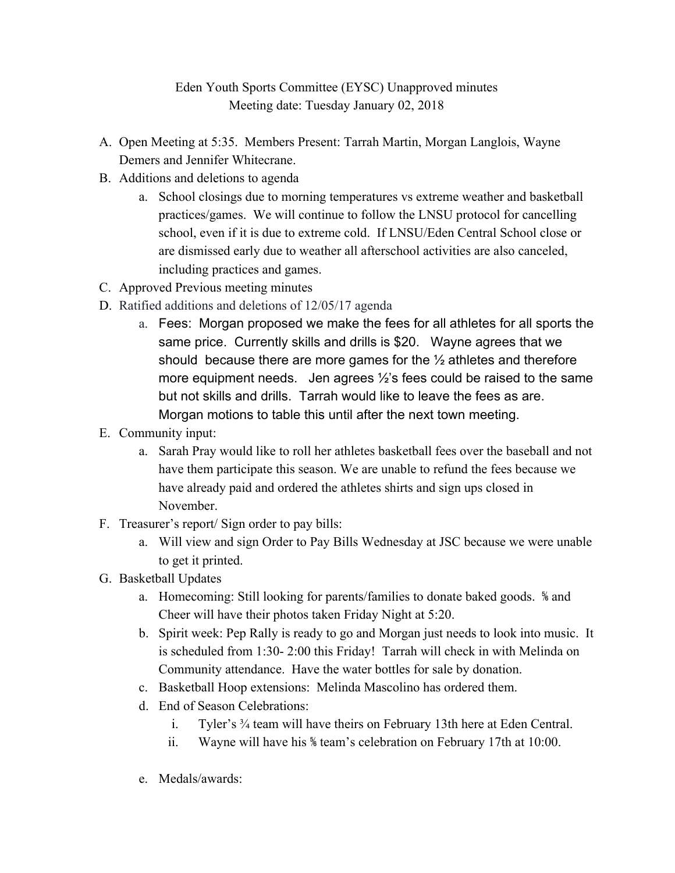## Eden Youth Sports Committee (EYSC) Unapproved minutes Meeting date: Tuesday January 02, 2018

- A. Open Meeting at 5:35. Members Present: Tarrah Martin, Morgan Langlois, Wayne Demers and Jennifer Whitecrane.
- B. Additions and deletions to agenda
	- a. School closings due to morning temperatures vs extreme weather and basketball practices/games. We will continue to follow the LNSU protocol for cancelling school, even if it is due to extreme cold. If LNSU/Eden Central School close or are dismissed early due to weather all afterschool activities are also canceled, including practices and games.
- C. Approved Previous meeting minutes
- D. Ratified additions and deletions of 12/05/17 agenda
	- a. Fees: Morgan proposed we make the fees for all athletes for all sports the same price. Currently skills and drills is \$20. Wayne agrees that we should because there are more games for the  $\frac{1}{2}$  athletes and therefore more equipment needs. Jen agrees ½'s fees could be raised to the same but not skills and drills. Tarrah would like to leave the fees as are. Morgan motions to table this until after the next town meeting.
- E. Community input:
	- a. Sarah Pray would like to roll her athletes basketball fees over the baseball and not have them participate this season. We are unable to refund the fees because we have already paid and ordered the athletes shirts and sign ups closed in November.
- F. Treasurer's report/ Sign order to pay bills:
	- a. Will view and sign Order to Pay Bills Wednesday at JSC because we were unable to get it printed.
- G. Basketball Updates
	- a. Homecoming: Still looking for parents/families to donate baked goods. ⅚ and Cheer will have their photos taken Friday Night at 5:20.
	- b. Spirit week: Pep Rally is ready to go and Morgan just needs to look into music. It is scheduled from 1:30- 2:00 this Friday! Tarrah will check in with Melinda on Community attendance. Have the water bottles for sale by donation.
	- c. Basketball Hoop extensions: Melinda Mascolino has ordered them.
	- d. End of Season Celebrations:
		- i. Tyler's ¾ team will have theirs on February 13th here at Eden Central.
		- ii. Wayne will have his *\therefore team's* celebration on February 17th at 10:00.
	- e. Medals/awards: